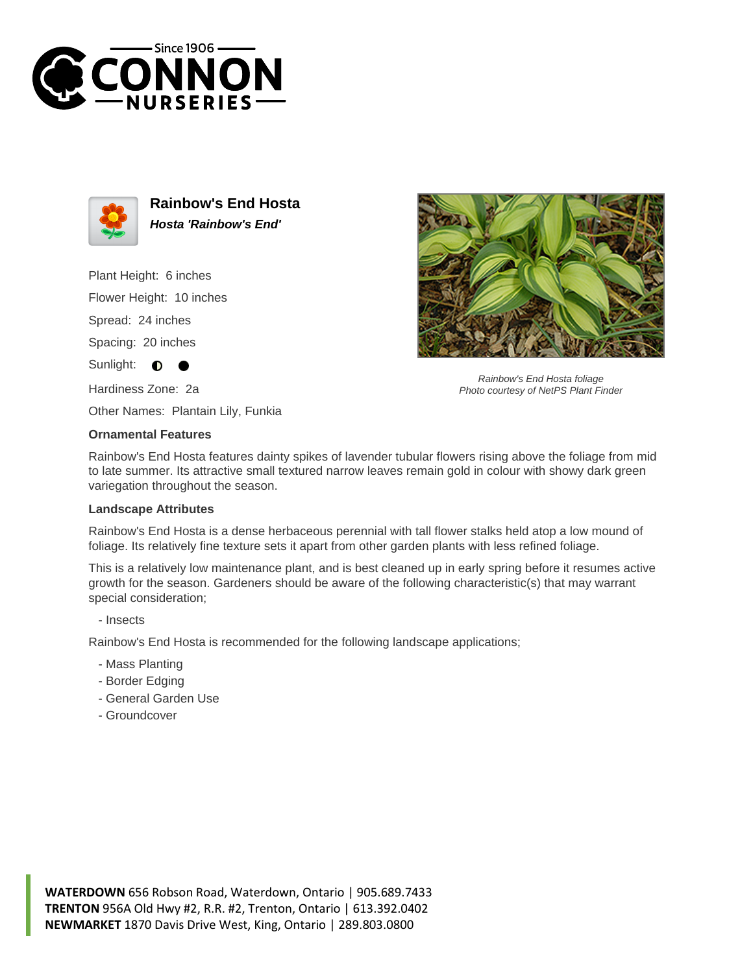



**Rainbow's End Hosta Hosta 'Rainbow's End'**

Plant Height: 6 inches Flower Height: 10 inches

Spread: 24 inches

Spacing: 20 inches

Sunlight:  $\bullet$ 

Hardiness Zone: 2a

Other Names: Plantain Lily, Funkia

## **Ornamental Features**

Rainbow's End Hosta features dainty spikes of lavender tubular flowers rising above the foliage from mid to late summer. Its attractive small textured narrow leaves remain gold in colour with showy dark green variegation throughout the season.

## **Landscape Attributes**

Rainbow's End Hosta is a dense herbaceous perennial with tall flower stalks held atop a low mound of foliage. Its relatively fine texture sets it apart from other garden plants with less refined foliage.

This is a relatively low maintenance plant, and is best cleaned up in early spring before it resumes active growth for the season. Gardeners should be aware of the following characteristic(s) that may warrant special consideration;

- Insects

Rainbow's End Hosta is recommended for the following landscape applications;

- Mass Planting
- Border Edging
- General Garden Use
- Groundcover





Rainbow's End Hosta foliage Photo courtesy of NetPS Plant Finder